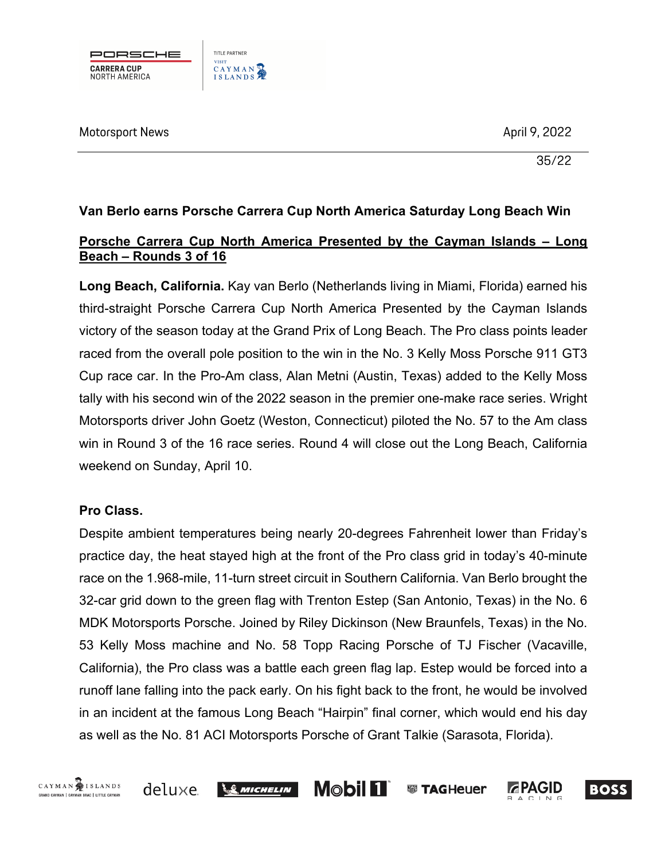

Motorsport News April 9, 2022 April 9, 2022

35/22

# **Van Berlo earns Porsche Carrera Cup North America Saturday Long Beach Win**

#### **Porsche Carrera Cup North America Presented by the Cayman Islands – Long Beach – Rounds 3 of 16**

**Long Beach, California.** Kay van Berlo (Netherlands living in Miami, Florida) earned his third-straight Porsche Carrera Cup North America Presented by the Cayman Islands victory of the season today at the Grand Prix of Long Beach. The Pro class points leader raced from the overall pole position to the win in the No. 3 Kelly Moss Porsche 911 GT3 Cup race car. In the Pro-Am class, Alan Metni (Austin, Texas) added to the Kelly Moss tally with his second win of the 2022 season in the premier one-make race series. Wright Motorsports driver John Goetz (Weston, Connecticut) piloted the No. 57 to the Am class win in Round 3 of the 16 race series. Round 4 will close out the Long Beach, California weekend on Sunday, April 10.

# **Pro Class.**

Despite ambient temperatures being nearly 20-degrees Fahrenheit lower than Friday's practice day, the heat stayed high at the front of the Pro class grid in today's 40-minute race on the 1.968-mile, 11-turn street circuit in Southern California. Van Berlo brought the 32-car grid down to the green flag with Trenton Estep (San Antonio, Texas) in the No. 6 MDK Motorsports Porsche. Joined by Riley Dickinson (New Braunfels, Texas) in the No. 53 Kelly Moss machine and No. 58 Topp Racing Porsche of TJ Fischer (Vacaville, California), the Pro class was a battle each green flag lap. Estep would be forced into a runoff lane falling into the pack early. On his fight back to the front, he would be involved in an incident at the famous Long Beach "Hairpin" final corner, which would end his day as well as the No. 81 ACI Motorsports Porsche of Grant Talkie (Sarasota, Florida).

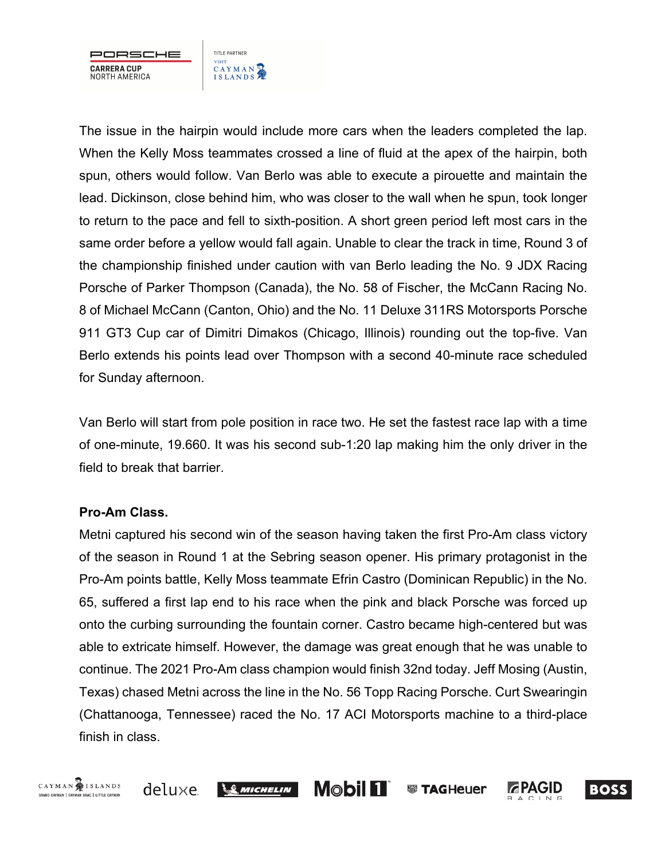PORSCHE **CARRERA CUP NORTH AMERICA** 



The issue in the hairpin would include more cars when the leaders completed the lap. When the Kelly Moss teammates crossed a line of fluid at the apex of the hairpin, both spun, others would follow. Van Berlo was able to execute a pirouette and maintain the lead. Dickinson, close behind him, who was closer to the wall when he spun, took longer to return to the pace and fell to sixth-position. A short green period left most cars in the same order before a yellow would fall again. Unable to clear the track in time, Round 3 of the championship finished under caution with van Berlo leading the No. 9 JDX Racing Porsche of Parker Thompson (Canada), the No. 58 of Fischer, the McCann Racing No. 8 of Michael McCann (Canton, Ohio) and the No. 11 Deluxe 311RS Motorsports Porsche 911 GT3 Cup car of Dimitri Dimakos (Chicago, Illinois) rounding out the top-five. Van Berlo extends his points lead over Thompson with a second 40-minute race scheduled for Sunday afternoon.

Van Berlo will start from pole position in race two. He set the fastest race lap with a time of one-minute, 19.660. It was his second sub-1:20 lap making him the only driver in the field to break that barrier.

# **Pro-Am Class.**

Metni captured his second win of the season having taken the first Pro-Am class victory of the season in Round 1 at the Sebring season opener. His primary protagonist in the Pro-Am points battle, Kelly Moss teammate Efrin Castro (Dominican Republic) in the No. 65, suffered a first lap end to his race when the pink and black Porsche was forced up onto the curbing surrounding the fountain corner. Castro became high-centered but was able to extricate himself. However, the damage was great enough that he was unable to continue. The 2021 Pro-Am class champion would finish 32nd today. Jeff Mosing (Austin, Texas) chased Metni across the line in the No. 56 Topp Racing Porsche. Curt Swearingin (Chattanooga, Tennessee) raced the No. 17 ACI Motorsports machine to a third-place finish in class.

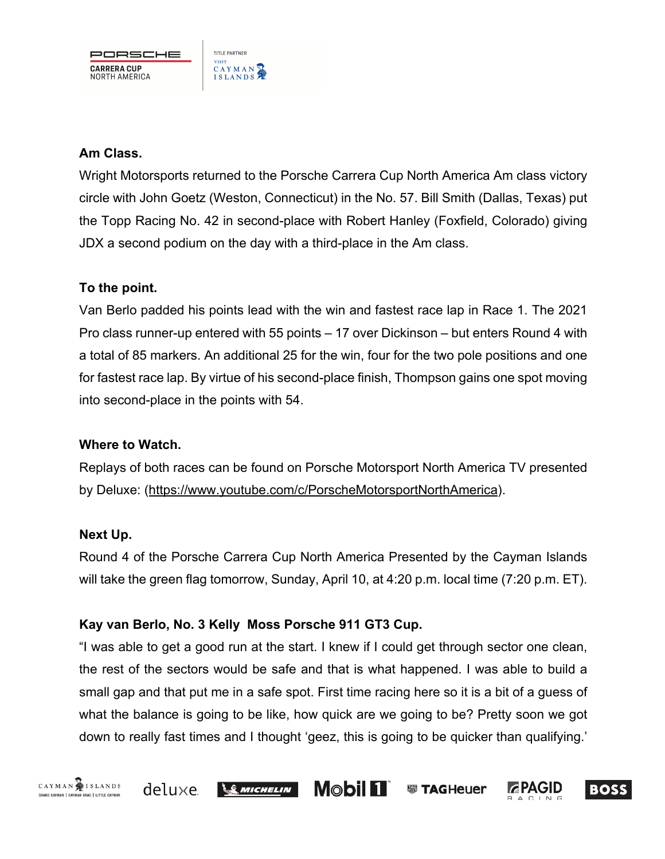

## **Am Class.**

Wright Motorsports returned to the Porsche Carrera Cup North America Am class victory circle with John Goetz (Weston, Connecticut) in the No. 57. Bill Smith (Dallas, Texas) put the Topp Racing No. 42 in second-place with Robert Hanley (Foxfield, Colorado) giving JDX a second podium on the day with a third-place in the Am class.

## **To the point.**

Van Berlo padded his points lead with the win and fastest race lap in Race 1. The 2021 Pro class runner-up entered with 55 points – 17 over Dickinson – but enters Round 4 with a total of 85 markers. An additional 25 for the win, four for the two pole positions and one for fastest race lap. By virtue of his second-place finish, Thompson gains one spot moving into second-place in the points with 54.

#### **Where to Watch.**

Replays of both races can be found on Porsche Motorsport North America TV presented by Deluxe: (https://www.youtube.com/c/PorscheMotorsportNorthAmerica).

#### **Next Up.**

Round 4 of the Porsche Carrera Cup North America Presented by the Cayman Islands will take the green flag tomorrow, Sunday, April 10, at 4:20 p.m. local time (7:20 p.m. ET).

# **Kay van Berlo, No. 3 Kelly Moss Porsche 911 GT3 Cup.**

"I was able to get a good run at the start. I knew if I could get through sector one clean, the rest of the sectors would be safe and that is what happened. I was able to build a small gap and that put me in a safe spot. First time racing here so it is a bit of a guess of what the balance is going to be like, how quick are we going to be? Pretty soon we got down to really fast times and I thought 'geez, this is going to be quicker than qualifying.'

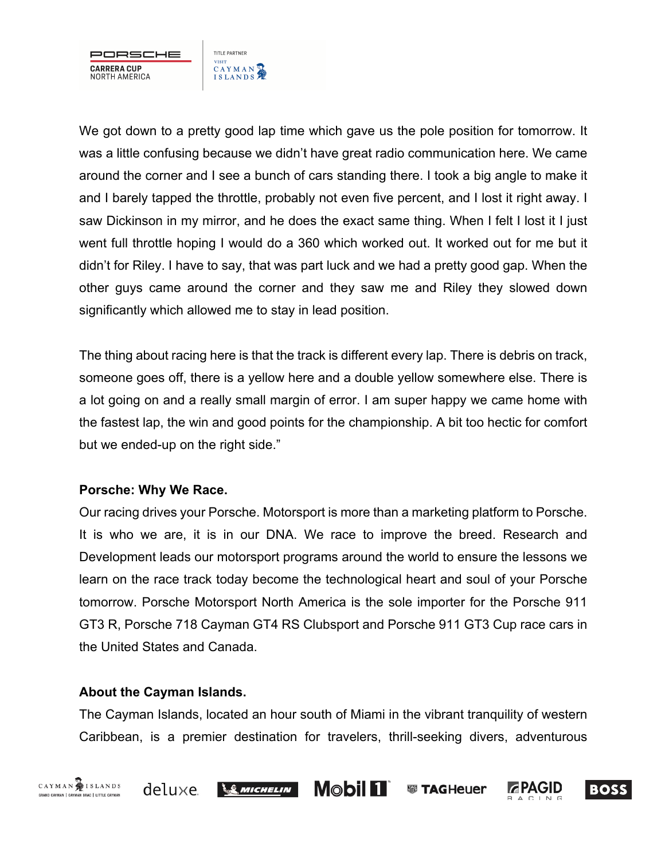

We got down to a pretty good lap time which gave us the pole position for tomorrow. It was a little confusing because we didn't have great radio communication here. We came around the corner and I see a bunch of cars standing there. I took a big angle to make it and I barely tapped the throttle, probably not even five percent, and I lost it right away. I saw Dickinson in my mirror, and he does the exact same thing. When I felt I lost it I just went full throttle hoping I would do a 360 which worked out. It worked out for me but it didn't for Riley. I have to say, that was part luck and we had a pretty good gap. When the other guys came around the corner and they saw me and Riley they slowed down significantly which allowed me to stay in lead position.

The thing about racing here is that the track is different every lap. There is debris on track, someone goes off, there is a yellow here and a double yellow somewhere else. There is a lot going on and a really small margin of error. I am super happy we came home with the fastest lap, the win and good points for the championship. A bit too hectic for comfort but we ended-up on the right side."

#### **Porsche: Why We Race.**

Our racing drives your Porsche. Motorsport is more than a marketing platform to Porsche. It is who we are, it is in our DNA. We race to improve the breed. Research and Development leads our motorsport programs around the world to ensure the lessons we learn on the race track today become the technological heart and soul of your Porsche tomorrow. Porsche Motorsport North America is the sole importer for the Porsche 911 GT3 R, Porsche 718 Cayman GT4 RS Clubsport and Porsche 911 GT3 Cup race cars in the United States and Canada.

# **About the Cayman Islands.**

The Cayman Islands, located an hour south of Miami in the vibrant tranquility of western Caribbean, is a premier destination for travelers, thrill-seeking divers, adventurous

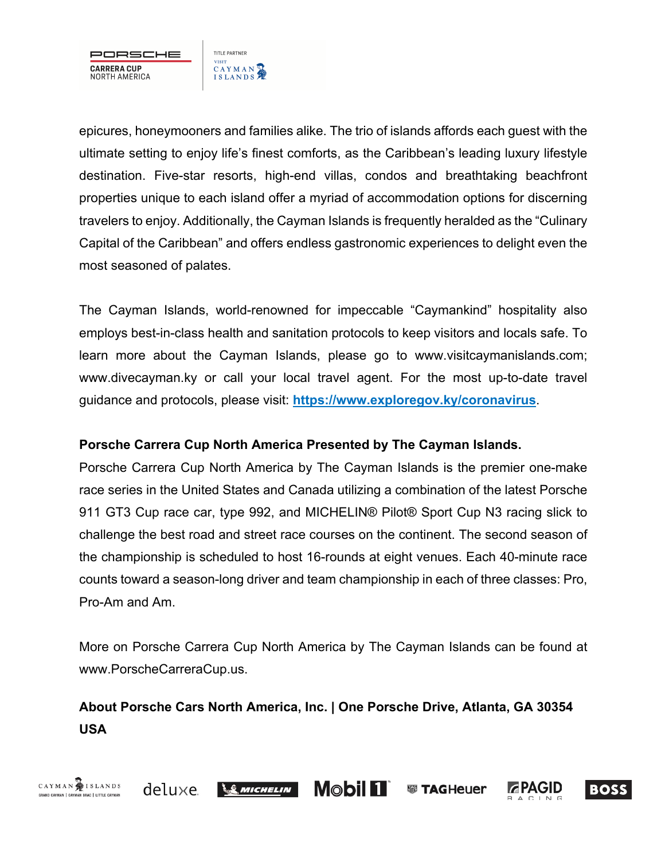

epicures, honeymooners and families alike. The trio of islands affords each guest with the ultimate setting to enjoy life's finest comforts, as the Caribbean's leading luxury lifestyle destination. Five-star resorts, high-end villas, condos and breathtaking beachfront properties unique to each island offer a myriad of accommodation options for discerning travelers to enjoy. Additionally, the Cayman Islands is frequently heralded as the "Culinary Capital of the Caribbean" and offers endless gastronomic experiences to delight even the most seasoned of palates.

The Cayman Islands, world-renowned for impeccable "Caymankind" hospitality also employs best-in-class health and sanitation protocols to keep visitors and locals safe. To learn more about the Cayman Islands, please go to www.visitcaymanislands.com; www.divecayman.ky or call your local travel agent. For the most up-to-date travel guidance and protocols, please visit: **https://www.exploregov.ky/coronavirus**.

#### **Porsche Carrera Cup North America Presented by The Cayman Islands.**

Porsche Carrera Cup North America by The Cayman Islands is the premier one-make race series in the United States and Canada utilizing a combination of the latest Porsche 911 GT3 Cup race car, type 992, and MICHELIN® Pilot® Sport Cup N3 racing slick to challenge the best road and street race courses on the continent. The second season of the championship is scheduled to host 16-rounds at eight venues. Each 40-minute race counts toward a season-long driver and team championship in each of three classes: Pro, Pro-Am and Am.

More on Porsche Carrera Cup North America by The Cayman Islands can be found at www.PorscheCarreraCup.us.

# **About Porsche Cars North America, Inc. | One Porsche Drive, Atlanta, GA 30354 USA**

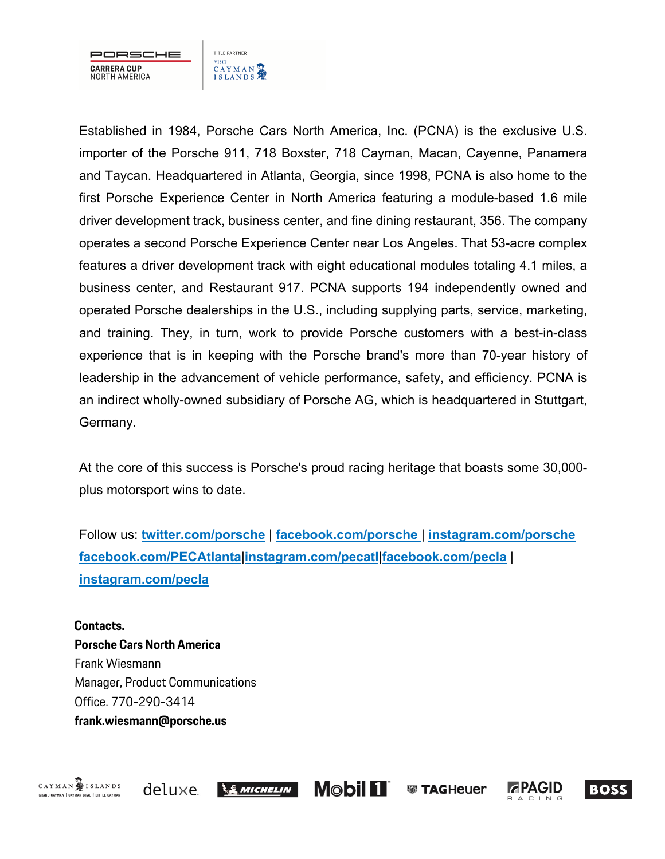

Established in 1984, Porsche Cars North America, Inc. (PCNA) is the exclusive U.S. importer of the Porsche 911, 718 Boxster, 718 Cayman, Macan, Cayenne, Panamera and Taycan. Headquartered in Atlanta, Georgia, since 1998, PCNA is also home to the first Porsche Experience Center in North America featuring a module-based 1.6 mile driver development track, business center, and fine dining restaurant, 356. The company operates a second Porsche Experience Center near Los Angeles. That 53-acre complex features a driver development track with eight educational modules totaling 4.1 miles, a business center, and Restaurant 917. PCNA supports 194 independently owned and operated Porsche dealerships in the U.S., including supplying parts, service, marketing, and training. They, in turn, work to provide Porsche customers with a best-in-class experience that is in keeping with the Porsche brand's more than 70-year history of leadership in the advancement of vehicle performance, safety, and efficiency. PCNA is an indirect wholly-owned subsidiary of Porsche AG, which is headquartered in Stuttgart, Germany.

At the core of this success is Porsche's proud racing heritage that boasts some 30,000 plus motorsport wins to date.

Follow us: **twitter.com/porsche** | **facebook.com/porsche** | **instagram.com/porsche facebook.com/PECAtlanta**|**instagram.com/pecatl**|**facebook.com/pecla** | **instagram.com/pecla**

**Contacts. Porsche Cars North America** Frank Wiesmann Manager, Product Communications Office. 770-290-3414 **frank.wiesmann@porsche.us**









**● TAGHeuer**